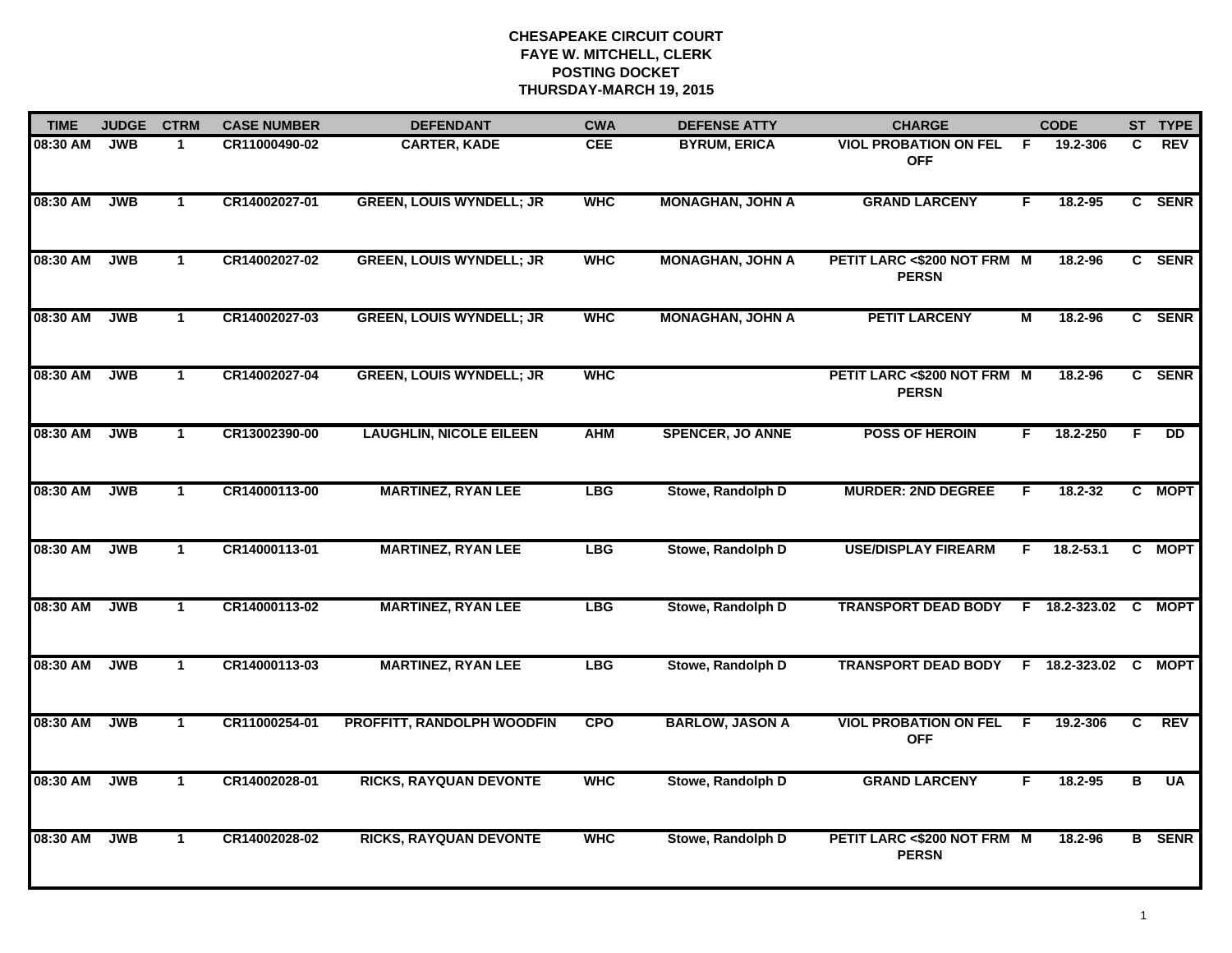| <b>TIME</b> | <b>JUDGE</b> | <b>CTRM</b>          | <b>CASE NUMBER</b> | <b>DEFENDANT</b>                | <b>CWA</b> | <b>DEFENSE ATTY</b>     | <b>CHARGE</b>                               |    | <b>CODE</b>          |                | ST TYPE         |
|-------------|--------------|----------------------|--------------------|---------------------------------|------------|-------------------------|---------------------------------------------|----|----------------------|----------------|-----------------|
| 08:30 AM    | <b>JWB</b>   | $\mathbf 1$          | CR11000490-02      | <b>CARTER, KADE</b>             | <b>CEE</b> | <b>BYRUM, ERICA</b>     | <b>VIOL PROBATION ON FEL</b><br><b>OFF</b>  | -F | 19.2-306             | C.             | <b>REV</b>      |
| 08:30 AM    | <b>JWB</b>   | $\mathbf{1}$         | CR14002027-01      | <b>GREEN, LOUIS WYNDELL; JR</b> | <b>WHC</b> | <b>MONAGHAN, JOHN A</b> | <b>GRAND LARCENY</b>                        | F. | 18.2-95              |                | C SENR          |
| 08:30 AM    | <b>JWB</b>   | $\mathbf{1}$         | CR14002027-02      | <b>GREEN, LOUIS WYNDELL; JR</b> | <b>WHC</b> | <b>MONAGHAN, JOHN A</b> | PETIT LARC <\$200 NOT FRM M<br><b>PERSN</b> |    | 18.2-96              |                | C SENR          |
| 08:30 AM    | <b>JWB</b>   | $\mathbf 1$          | CR14002027-03      | <b>GREEN, LOUIS WYNDELL; JR</b> | <b>WHC</b> | <b>MONAGHAN, JOHN A</b> | <b>PETIT LARCENY</b>                        | м  | 18.2-96              |                | C SENR          |
| 08:30 AM    | <b>JWB</b>   | $\mathbf{1}$         | CR14002027-04      | <b>GREEN, LOUIS WYNDELL; JR</b> | <b>WHC</b> |                         | PETIT LARC <\$200 NOT FRM M<br><b>PERSN</b> |    | 18.2-96              |                | C SENR          |
| 08:30 AM    | <b>JWB</b>   | $\mathbf{1}$         | CR13002390-00      | <b>LAUGHLIN, NICOLE EILEEN</b>  | <b>AHM</b> | <b>SPENCER, JO ANNE</b> | <b>POSS OF HEROIN</b>                       | F. | 18.2-250             | F.             | $\overline{DD}$ |
| 08:30 AM    | <b>JWB</b>   | $\mathbf{1}$         | CR14000113-00      | <b>MARTINEZ, RYAN LEE</b>       | <b>LBG</b> | Stowe, Randolph D       | <b>MURDER: 2ND DEGREE</b>                   | F. | 18.2-32              |                | C MOPT          |
| 08:30 AM    | <b>JWB</b>   | $\mathbf{1}$         | CR14000113-01      | <b>MARTINEZ, RYAN LEE</b>       | <b>LBG</b> | Stowe, Randolph D       | <b>USE/DISPLAY FIREARM</b>                  | F  | 18.2-53.1            |                | C MOPT          |
| 08:30 AM    | <b>JWB</b>   | $\mathbf{1}$         | CR14000113-02      | <b>MARTINEZ, RYAN LEE</b>       | <b>LBG</b> | Stowe, Randolph D       | <b>TRANSPORT DEAD BODY</b>                  |    | F 18.2-323.02 C MOPT |                |                 |
| 08:30 AM    | <b>JWB</b>   | $\mathbf{1}$         | CR14000113-03      | <b>MARTINEZ, RYAN LEE</b>       | <b>LBG</b> | Stowe, Randolph D       | <b>TRANSPORT DEAD BODY</b>                  |    | F 18.2-323.02        |                | C MOPT          |
| 08:30 AM    | <b>JWB</b>   | $\mathbf{1}$         | CR11000254-01      | PROFFITT, RANDOLPH WOODFIN      | <b>CPO</b> | <b>BARLOW, JASON A</b>  | <b>VIOL PROBATION ON FEL</b><br><b>OFF</b>  | F. | 19.2-306             | C              | <b>REV</b>      |
| 08:30 AM    | <b>JWB</b>   | $\mathbf{1}$         | CR14002028-01      | <b>RICKS, RAYQUAN DEVONTE</b>   | <b>WHC</b> | Stowe, Randolph D       | <b>GRAND LARCENY</b>                        | F. | 18.2-95              | $\overline{B}$ | <b>UA</b>       |
| 08:30 AM    | <b>JWB</b>   | $\blacktriangleleft$ | CR14002028-02      | <b>RICKS, RAYQUAN DEVONTE</b>   | <b>WHC</b> | Stowe, Randolph D       | PETIT LARC <\$200 NOT FRM M<br><b>PERSN</b> |    | 18.2-96              |                | <b>B</b> SENR   |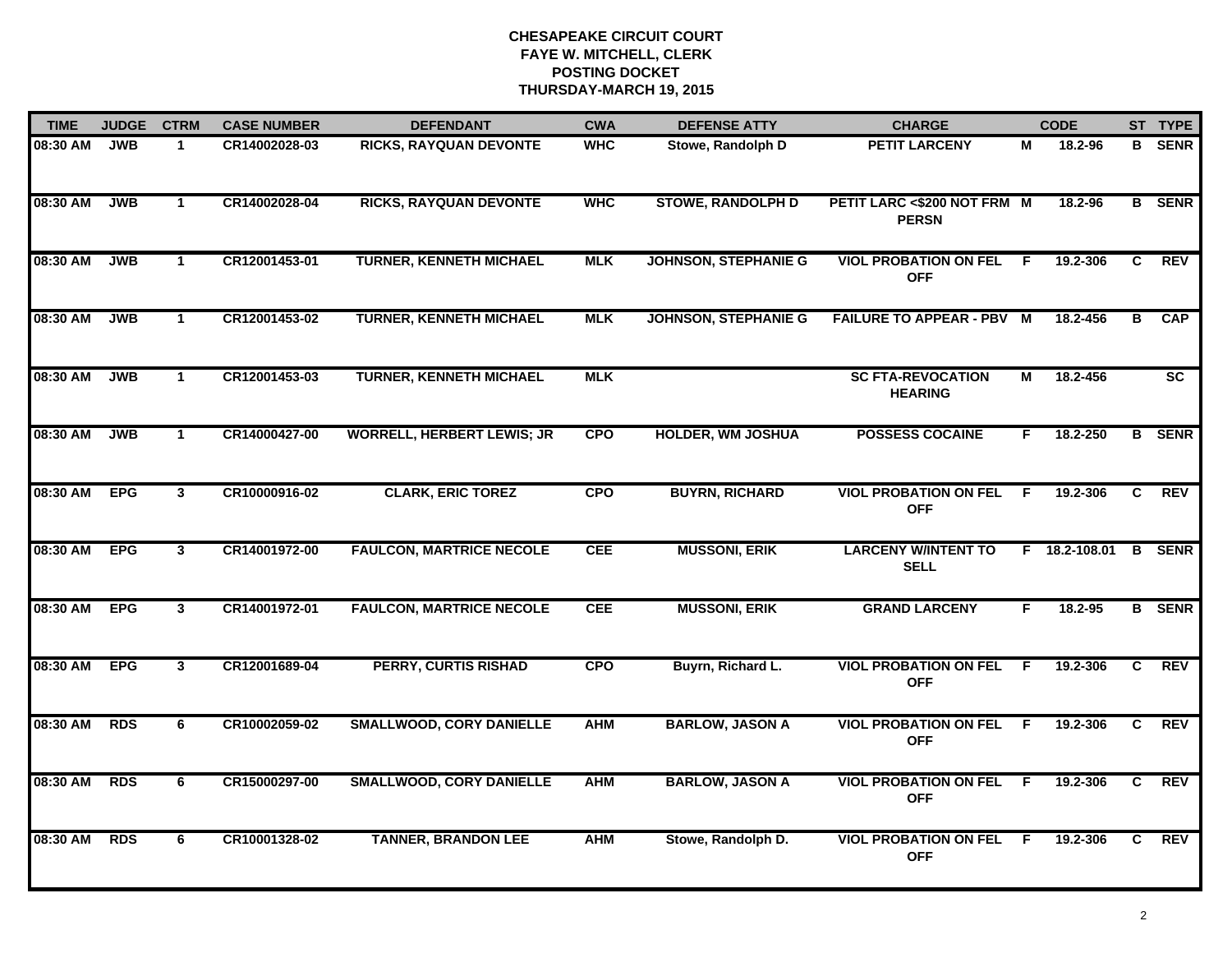| <b>TIME</b> | <b>JUDGE</b> | <b>CTRM</b>             | <b>CASE NUMBER</b> | <b>DEFENDANT</b>                  | <b>CWA</b> | <b>DEFENSE ATTY</b>         | <b>CHARGE</b>                               |     | <b>CODE</b>   |                | ST TYPE         |
|-------------|--------------|-------------------------|--------------------|-----------------------------------|------------|-----------------------------|---------------------------------------------|-----|---------------|----------------|-----------------|
| 08:30 AM    | <b>JWB</b>   | $\mathbf{1}$            | CR14002028-03      | RICKS, RAYQUAN DEVONTE            | <b>WHC</b> | Stowe, Randolph D           | <b>PETIT LARCENY</b>                        | М   | 18.2-96       |                | <b>B</b> SENR   |
| 08:30 AM    | <b>JWB</b>   | $\mathbf{1}$            | CR14002028-04      | <b>RICKS, RAYQUAN DEVONTE</b>     | <b>WHC</b> | <b>STOWE, RANDOLPH D</b>    | PETIT LARC <\$200 NOT FRM M<br><b>PERSN</b> |     | 18.2-96       |                | <b>B</b> SENR   |
| 08:30 AM    | <b>JWB</b>   | $\mathbf{1}$            | CR12001453-01      | <b>TURNER, KENNETH MICHAEL</b>    | <b>MLK</b> | <b>JOHNSON, STEPHANIE G</b> | <b>VIOL PROBATION ON FEL</b><br><b>OFF</b>  | -F. | 19.2-306      | C              | <b>REV</b>      |
| 08:30 AM    | <b>JWB</b>   | $\mathbf{1}$            | CR12001453-02      | <b>TURNER, KENNETH MICHAEL</b>    | <b>MLK</b> | <b>JOHNSON, STEPHANIE G</b> | <b>FAILURE TO APPEAR - PBV M</b>            |     | 18.2-456      | в              | <b>CAP</b>      |
| 08:30 AM    | <b>JWB</b>   | $\mathbf{1}$            | CR12001453-03      | <b>TURNER, KENNETH MICHAEL</b>    | <b>MLK</b> |                             | <b>SC FTA-REVOCATION</b><br><b>HEARING</b>  | М   | 18.2-456      |                | $\overline{sc}$ |
| 08:30 AM    | <b>JWB</b>   | $\mathbf 1$             | CR14000427-00      | <b>WORRELL, HERBERT LEWIS; JR</b> | <b>CPO</b> | <b>HOLDER, WM JOSHUA</b>    | <b>POSSESS COCAINE</b>                      | F.  | 18.2-250      |                | <b>B</b> SENR   |
| 08:30 AM    | <b>EPG</b>   | $\overline{\mathbf{3}}$ | CR10000916-02      | <b>CLARK, ERIC TOREZ</b>          | <b>CPO</b> | <b>BUYRN, RICHARD</b>       | <b>VIOL PROBATION ON FEL</b><br><b>OFF</b>  | -F  | 19.2-306      | C.             | REV             |
| 08:30 AM    | <b>EPG</b>   | $\overline{\mathbf{3}}$ | CR14001972-00      | <b>FAULCON, MARTRICE NECOLE</b>   | <b>CEE</b> | <b>MUSSONI, ERIK</b>        | <b>LARCENY W/INTENT TO</b><br><b>SELL</b>   |     | F 18.2-108.01 |                | <b>B</b> SENR   |
| 08:30 AM    | <b>EPG</b>   | $\mathbf{3}$            | CR14001972-01      | <b>FAULCON, MARTRICE NECOLE</b>   | <b>CEE</b> | <b>MUSSONI, ERIK</b>        | <b>GRAND LARCENY</b>                        | F   | 18.2-95       |                | <b>B</b> SENR   |
| 08:30 AM    | <b>EPG</b>   | $\overline{3}$          | CR12001689-04      | <b>PERRY, CURTIS RISHAD</b>       | <b>CPO</b> | Buyrn, Richard L.           | <b>VIOL PROBATION ON FEL</b><br><b>OFF</b>  | F.  | 19.2-306      | C              | <b>REV</b>      |
| 08:30 AM    | <b>RDS</b>   | 6                       | CR10002059-02      | <b>SMALLWOOD, CORY DANIELLE</b>   | <b>AHM</b> | <b>BARLOW, JASON A</b>      | <b>VIOL PROBATION ON FEL</b><br><b>OFF</b>  | E   | 19.2-306      | C.             | REV             |
| 08:30 AM    | <b>RDS</b>   | 6                       | CR15000297-00      | <b>SMALLWOOD, CORY DANIELLE</b>   | <b>AHM</b> | <b>BARLOW, JASON A</b>      | <b>VIOL PROBATION ON FEL</b><br><b>OFF</b>  | F.  | 19.2-306      | $\overline{c}$ | REV             |
| 08:30 AM    | <b>RDS</b>   | 6                       | CR10001328-02      | <b>TANNER, BRANDON LEE</b>        | <b>AHM</b> | Stowe, Randolph D.          | <b>VIOL PROBATION ON FEL</b><br><b>OFF</b>  | -F  | 19.2-306      | C.             | REV             |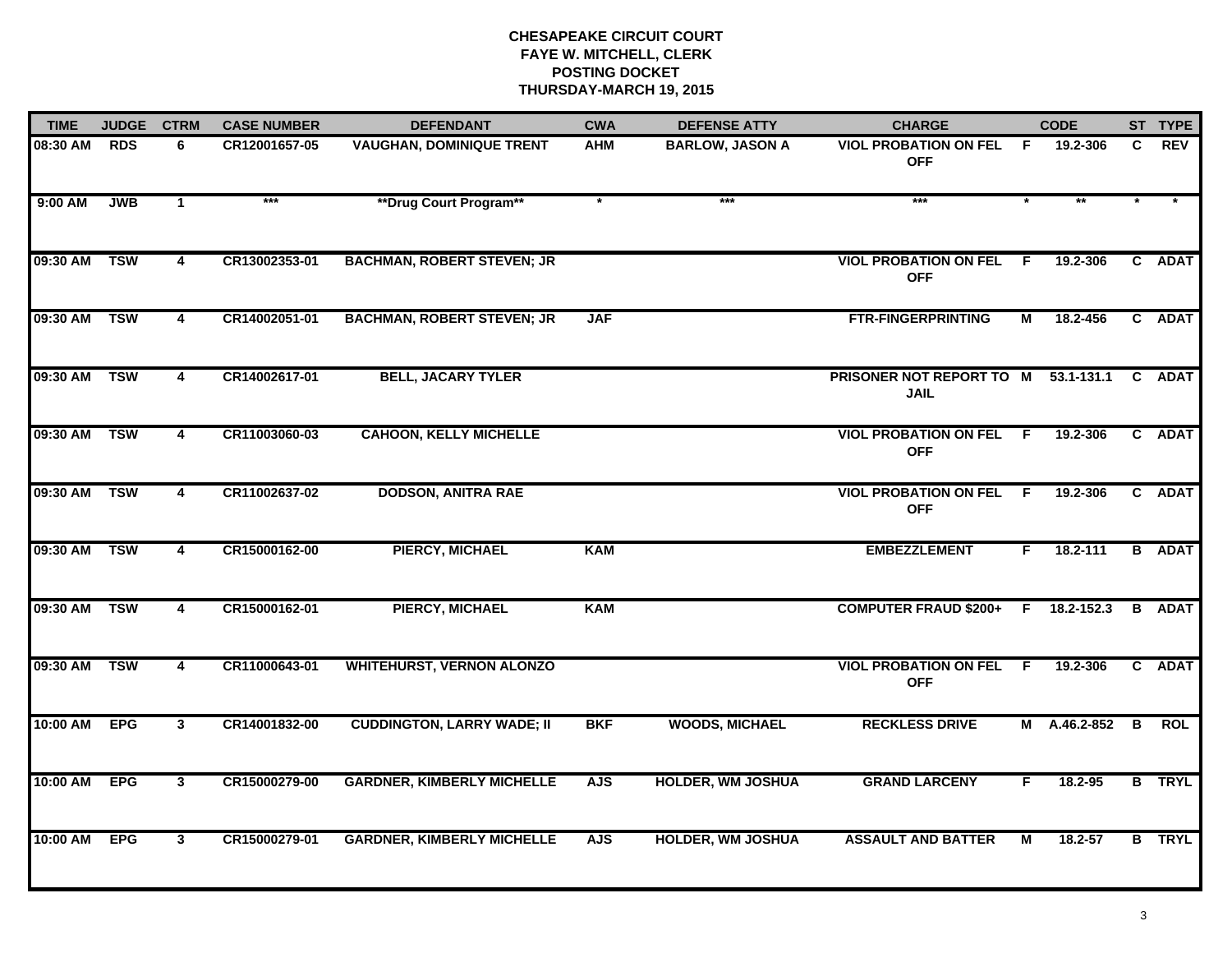| <b>TIME</b> | <b>JUDGE</b> | <b>CTRM</b>             | <b>CASE NUMBER</b> | <b>DEFENDANT</b>                  | <b>CWA</b> | <b>DEFENSE ATTY</b>      | <b>CHARGE</b>                                |                | <b>CODE</b>    |    | ST TYPE       |
|-------------|--------------|-------------------------|--------------------|-----------------------------------|------------|--------------------------|----------------------------------------------|----------------|----------------|----|---------------|
| 08:30 AM    | <b>RDS</b>   | 6                       | CR12001657-05      | <b>VAUGHAN, DOMINIQUE TRENT</b>   | AHM        | <b>BARLOW, JASON A</b>   | <b>VIOL PROBATION ON FEL</b><br><b>OFF</b>   | F.             | 19.2-306       | C. | <b>REV</b>    |
| $9:00$ AM   | <b>JWB</b>   | $\blacktriangleleft$    | $***$              | **Drug Court Program**            | $\ast$     | $***$                    | ***                                          |                | $\star\star$   |    |               |
| 09:30 AM    | <b>TSW</b>   | 4                       | CR13002353-01      | <b>BACHMAN, ROBERT STEVEN; JR</b> |            |                          | <b>VIOL PROBATION ON FEL</b><br><b>OFF</b>   | - F            | 19.2-306       |    | C ADAT        |
| 09:30 AM    | <b>TSW</b>   | 4                       | CR14002051-01      | <b>BACHMAN, ROBERT STEVEN; JR</b> | <b>JAF</b> |                          | <b>FTR-FINGERPRINTING</b>                    | М              | 18.2-456       |    | C ADAT        |
| 09:30 AM    | <b>TSW</b>   | 4                       | CR14002617-01      | <b>BELL, JACARY TYLER</b>         |            |                          | PRISONER NOT REPORT TO M<br><b>JAIL</b>      |                | $53.1 - 131.1$ |    | C ADAT        |
| 09:30 AM    | <b>TSW</b>   | 4                       | CR11003060-03      | <b>CAHOON, KELLY MICHELLE</b>     |            |                          | <b>VIOL PROBATION ON FEL F</b><br><b>OFF</b> |                | 19.2-306       |    | C ADAT        |
| 09:30 AM    | <b>TSW</b>   | $\overline{\mathbf{4}}$ | CR11002637-02      | <b>DODSON, ANITRA RAE</b>         |            |                          | <b>VIOL PROBATION ON FEL</b><br><b>OFF</b>   | $\overline{F}$ | 19.2-306       |    | C ADAT        |
| 09:30 AM    | <b>TSW</b>   | 4                       | CR15000162-00      | <b>PIERCY, MICHAEL</b>            | <b>KAM</b> |                          | <b>EMBEZZLEMENT</b>                          | F.             | 18.2-111       |    | <b>B</b> ADAT |
| 09:30 AM    | <b>TSW</b>   | 4                       | CR15000162-01      | <b>PIERCY, MICHAEL</b>            | KAM        |                          | <b>COMPUTER FRAUD \$200+</b>                 |                | $F$ 18.2-152.3 |    | <b>B</b> ADAT |
| 09:30 AM    | <b>TSW</b>   | 4                       | CR11000643-01      | <b>WHITEHURST, VERNON ALONZO</b>  |            |                          | <b>VIOL PROBATION ON FEL</b><br><b>OFF</b>   | - F            | 19.2-306       |    | C ADAT        |
| 10:00 AM    | <b>EPG</b>   | $3^{\circ}$             | CR14001832-00      | <b>CUDDINGTON, LARRY WADE; II</b> | <b>BKF</b> | <b>WOODS, MICHAEL</b>    | <b>RECKLESS DRIVE</b>                        |                | M A.46.2-852   | B  | <b>ROL</b>    |
| 10:00 AM    | <b>EPG</b>   | $\overline{3}$          | CR15000279-00      | <b>GARDNER, KIMBERLY MICHELLE</b> | <b>AJS</b> | <b>HOLDER, WM JOSHUA</b> | <b>GRAND LARCENY</b>                         | F.             | 18.2-95        |    | <b>B</b> TRYL |
| 10:00 AM    | <b>EPG</b>   | $\mathbf{3}$            | CR15000279-01      | <b>GARDNER, KIMBERLY MICHELLE</b> | <b>AJS</b> | <b>HOLDER, WM JOSHUA</b> | <b>ASSAULT AND BATTER</b>                    | М              | 18.2-57        |    | <b>B</b> TRYL |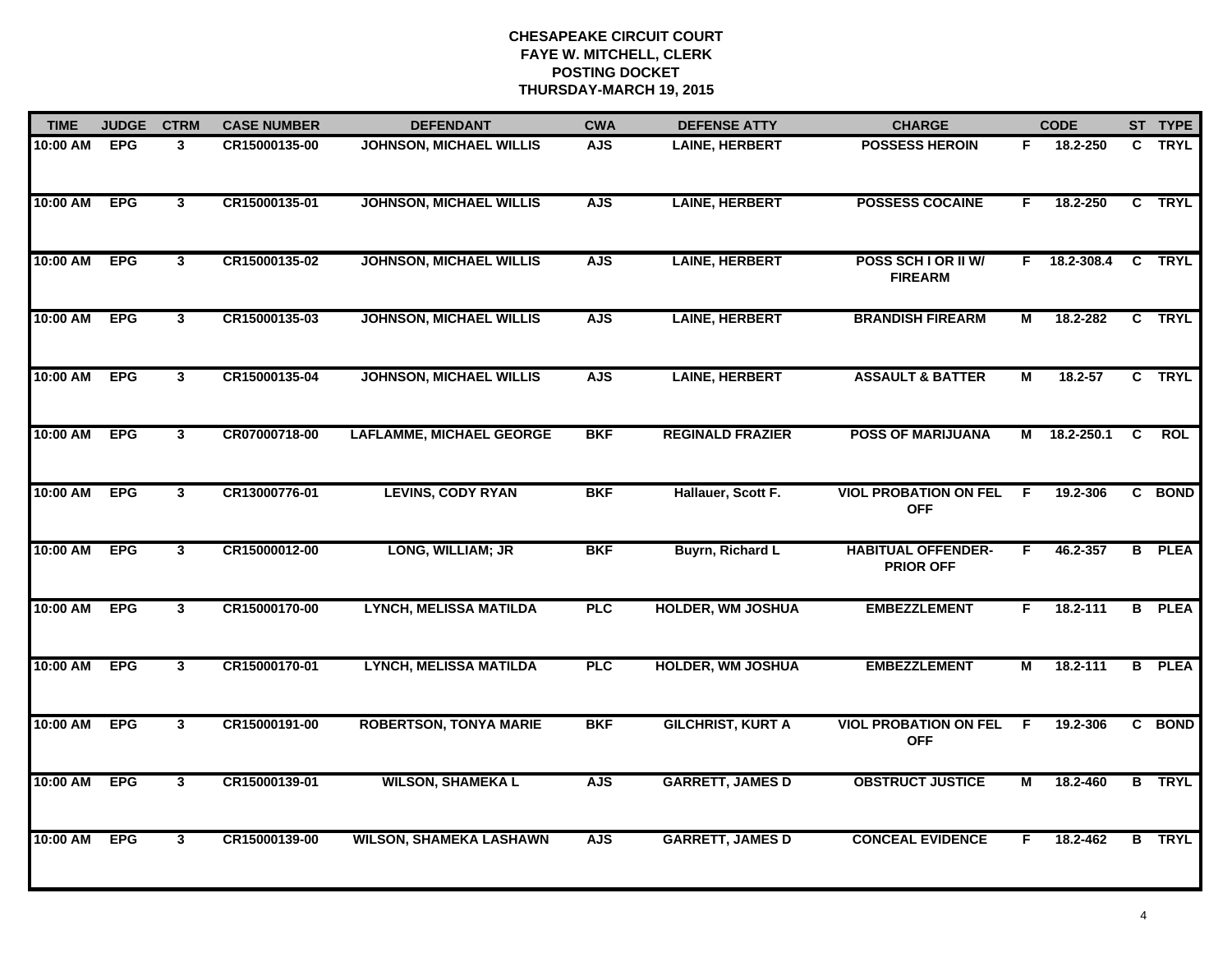| <b>TIME</b> | <b>JUDGE</b> | <b>CTRM</b>  | <b>CASE NUMBER</b> | <b>DEFENDANT</b>                | <b>CWA</b> | <b>DEFENSE ATTY</b>      | <b>CHARGE</b>                                 |                | <b>CODE</b>  |                | ST TYPE       |
|-------------|--------------|--------------|--------------------|---------------------------------|------------|--------------------------|-----------------------------------------------|----------------|--------------|----------------|---------------|
| 10:00 AM    | <b>EPG</b>   | 3            | CR15000135-00      | <b>JOHNSON, MICHAEL WILLIS</b>  | <b>AJS</b> | <b>LAINE, HERBERT</b>    | <b>POSSESS HEROIN</b>                         | F.             | 18.2-250     |                | C TRYL        |
| 10:00 AM    | <b>EPG</b>   | $\mathbf{3}$ | CR15000135-01      | <b>JOHNSON, MICHAEL WILLIS</b>  | <b>AJS</b> | <b>LAINE, HERBERT</b>    | <b>POSSESS COCAINE</b>                        | F              | 18.2-250     |                | C TRYL        |
| 10:00 AM    | <b>EPG</b>   | $3^{\circ}$  | CR15000135-02      | <b>JOHNSON, MICHAEL WILLIS</b>  | <b>AJS</b> | <b>LAINE, HERBERT</b>    | POSS SCH I OR II W/<br><b>FIREARM</b>         | F.             | 18.2-308.4   |                | C TRYL        |
| 10:00 AM    | <b>EPG</b>   | $\mathbf{3}$ | CR15000135-03      | <b>JOHNSON, MICHAEL WILLIS</b>  | <b>AJS</b> | <b>LAINE, HERBERT</b>    | <b>BRANDISH FIREARM</b>                       | М              | 18.2-282     |                | C TRYL        |
| 10:00 AM    | <b>EPG</b>   | $\mathbf{3}$ | CR15000135-04      | <b>JOHNSON, MICHAEL WILLIS</b>  | <b>AJS</b> | <b>LAINE, HERBERT</b>    | <b>ASSAULT &amp; BATTER</b>                   | М              | $18.2 - 57$  |                | C TRYL        |
| 10:00 AM    | <b>EPG</b>   | $\mathbf{3}$ | CR07000718-00      | <b>LAFLAMME, MICHAEL GEORGE</b> | <b>BKF</b> | <b>REGINALD FRAZIER</b>  | <b>POSS OF MARIJUANA</b>                      |                | M 18.2-250.1 | $\overline{c}$ | ROL           |
| 10:00 AM    | <b>EPG</b>   | 3            | CR13000776-01      | <b>LEVINS, CODY RYAN</b>        | <b>BKF</b> | Hallauer, Scott F.       | <b>VIOL PROBATION ON FEL</b><br><b>OFF</b>    | F.             | 19.2-306     |                | C BOND        |
| 10:00 AM    | <b>EPG</b>   | 3            | CR15000012-00      | LONG, WILLIAM; JR               | <b>BKF</b> | <b>Buyrn, Richard L</b>  | <b>HABITUAL OFFENDER-</b><br><b>PRIOR OFF</b> | F.             | 46.2-357     |                | <b>B</b> PLEA |
| 10:00 AM    | <b>EPG</b>   | $\mathbf{3}$ | CR15000170-00      | <b>LYNCH, MELISSA MATILDA</b>   | <b>PLC</b> | <b>HOLDER, WM JOSHUA</b> | <b>EMBEZZLEMENT</b>                           | F              | 18.2-111     |                | <b>B</b> PLEA |
| 10:00 AM    | <b>EPG</b>   | $\mathbf{3}$ | CR15000170-01      | <b>LYNCH, MELISSA MATILDA</b>   | <b>PLC</b> | <b>HOLDER, WM JOSHUA</b> | <b>EMBEZZLEMENT</b>                           | М              | 18.2-111     |                | <b>B</b> PLEA |
| 10:00 AM    | <b>EPG</b>   | $\mathbf{3}$ | CR15000191-00      | <b>ROBERTSON, TONYA MARIE</b>   | <b>BKF</b> | <b>GILCHRIST, KURT A</b> | <b>VIOL PROBATION ON FEL</b><br><b>OFF</b>    | F              | 19.2-306     |                | C BOND        |
| 10:00 AM    | <b>EPG</b>   | 3            | CR15000139-01      | <b>WILSON, SHAMEKA L</b>        | <b>AJS</b> | <b>GARRETT, JAMES D</b>  | <b>OBSTRUCT JUSTICE</b>                       | $\overline{M}$ | 18.2-460     |                | <b>B</b> TRYL |
| 10:00 AM    | <b>EPG</b>   | $\mathbf{3}$ | CR15000139-00      | <b>WILSON, SHAMEKA LASHAWN</b>  | <b>AJS</b> | <b>GARRETT, JAMES D</b>  | <b>CONCEAL EVIDENCE</b>                       | F.             | 18.2-462     |                | <b>B</b> TRYL |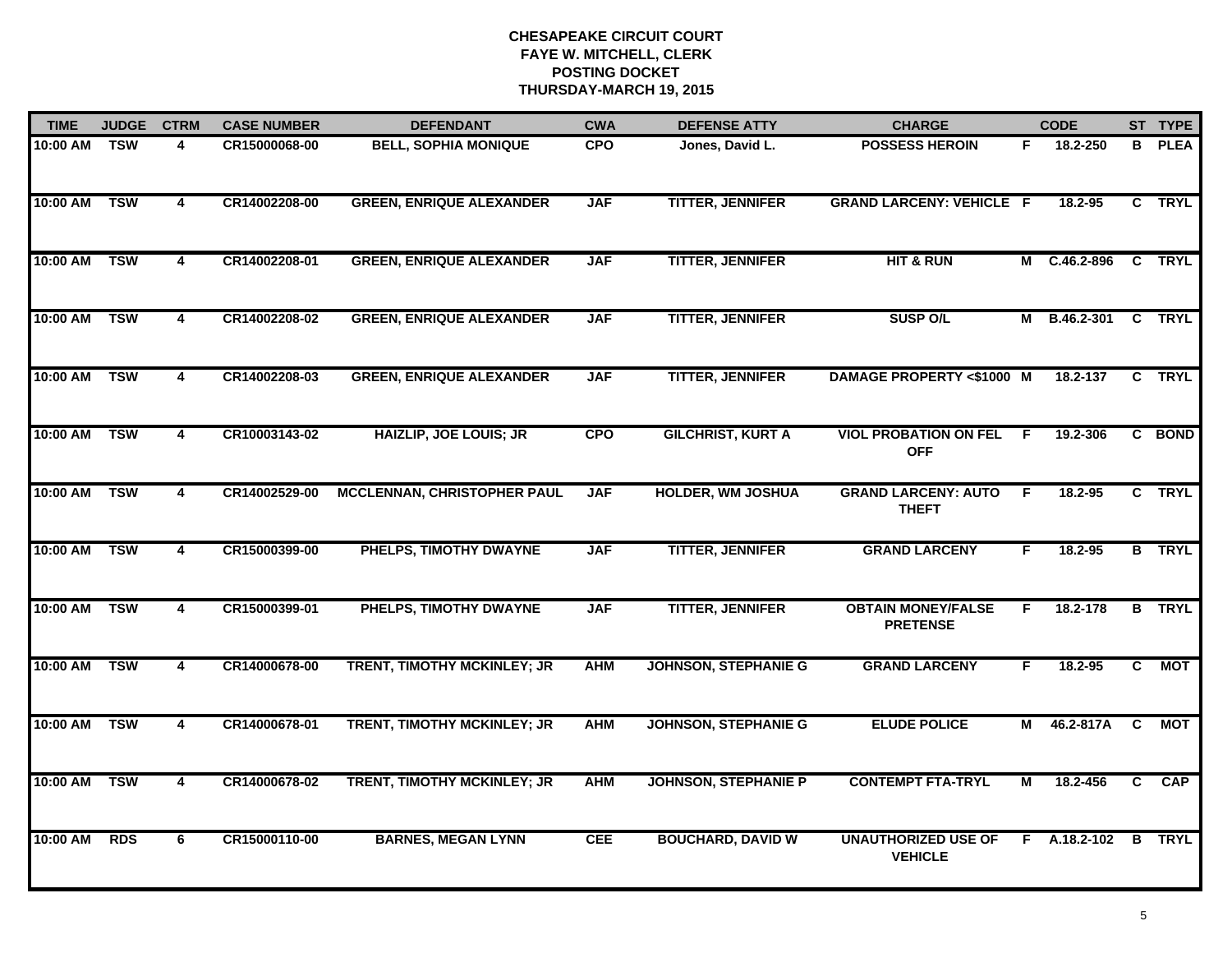| <b>TIME</b>  | <b>JUDGE</b>            | <b>CTRM</b>             | <b>CASE NUMBER</b> | <b>DEFENDANT</b>                   | <b>CWA</b> | <b>DEFENSE ATTY</b>         | <b>CHARGE</b>                                |    | <b>CODE</b>    |                | ST TYPE       |
|--------------|-------------------------|-------------------------|--------------------|------------------------------------|------------|-----------------------------|----------------------------------------------|----|----------------|----------------|---------------|
| 10:00 AM     | TSW                     | 4                       | CR15000068-00      | <b>BELL, SOPHIA MONIQUE</b>        | <b>CPO</b> | Jones, David L.             | <b>POSSESS HEROIN</b>                        | F. | 18.2-250       | B.             | <b>PLEA</b>   |
| 10:00 AM     | $\overline{\text{TSW}}$ | $\overline{4}$          | CR14002208-00      | <b>GREEN, ENRIQUE ALEXANDER</b>    | <b>JAF</b> | <b>TITTER, JENNIFER</b>     | <b>GRAND LARCENY: VEHICLE F</b>              |    | 18.2-95        |                | C TRYL        |
| 10:00 AM     | <b>TSW</b>              | $\overline{4}$          | CR14002208-01      | <b>GREEN, ENRIQUE ALEXANDER</b>    | <b>JAF</b> | <b>TITTER, JENNIFER</b>     | <b>HIT &amp; RUN</b>                         | M  | $C.46.2 - 896$ |                | C TRYL        |
| 10:00 AM     | <b>TSW</b>              | 4                       | CR14002208-02      | <b>GREEN, ENRIQUE ALEXANDER</b>    | <b>JAF</b> | <b>TITTER, JENNIFER</b>     | <b>SUSP O/L</b>                              | м  | B.46.2-301     |                | C TRYL        |
| 10:00 AM     | <b>TSW</b>              | 4                       | CR14002208-03      | <b>GREEN, ENRIQUE ALEXANDER</b>    | <b>JAF</b> | <b>TITTER, JENNIFER</b>     | DAMAGE PROPERTY <\$1000 M                    |    | 18.2-137       |                | C TRYL        |
| 10:00 AM TSW |                         | 4                       | CR10003143-02      | <b>HAIZLIP, JOE LOUIS; JR</b>      | <b>CPO</b> | <b>GILCHRIST, KURT A</b>    | <b>VIOL PROBATION ON FEL</b><br><b>OFF</b>   | -F | 19.2-306       |                | C BOND        |
| 10:00 AM     | TSW                     | $\overline{4}$          | CR14002529-00      | <b>MCCLENNAN, CHRISTOPHER PAUL</b> | <b>JAF</b> | <b>HOLDER, WM JOSHUA</b>    | <b>GRAND LARCENY: AUTO</b><br><b>THEFT</b>   | F. | 18.2-95        |                | C TRYL        |
| 10:00 AM     | <b>TSW</b>              | $\overline{\mathbf{4}}$ | CR15000399-00      | PHELPS, TIMOTHY DWAYNE             | <b>JAF</b> | <b>TITTER, JENNIFER</b>     | <b>GRAND LARCENY</b>                         | F  | 18.2-95        |                | <b>B</b> TRYL |
| 10:00 AM     | <b>TSW</b>              | 4                       | CR15000399-01      | PHELPS, TIMOTHY DWAYNE             | <b>JAF</b> | <b>TITTER, JENNIFER</b>     | <b>OBTAIN MONEY/FALSE</b><br><b>PRETENSE</b> | F  | 18.2-178       |                | <b>B</b> TRYL |
| 10:00 AM     | <b>TSW</b>              | $\overline{4}$          | CR14000678-00      | TRENT, TIMOTHY MCKINLEY; JR        | <b>AHM</b> | <b>JOHNSON, STEPHANIE G</b> | <b>GRAND LARCENY</b>                         | F  | $18.2 - 95$    | $\mathbf{C}$   | <b>MOT</b>    |
| 10:00 AM     | <b>TSW</b>              | $\overline{4}$          | CR14000678-01      | TRENT, TIMOTHY MCKINLEY; JR        | <b>AHM</b> | <b>JOHNSON, STEPHANIE G</b> | <b>ELUDE POLICE</b>                          | М  | 46.2-817A      | C              | <b>MOT</b>    |
| 10:00 AM     | <b>TSW</b>              | $\overline{\mathbf{4}}$ | CR14000678-02      | TRENT, TIMOTHY MCKINLEY; JR        | <b>AHM</b> | <b>JOHNSON, STEPHANIE P</b> | <b>CONTEMPT FTA-TRYL</b>                     | М  | 18.2-456       | $\overline{c}$ | CAP           |
| 10:00 AM     | <b>RDS</b>              | 6                       | CR15000110-00      | <b>BARNES, MEGAN LYNN</b>          | <b>CEE</b> | <b>BOUCHARD, DAVID W</b>    | <b>UNAUTHORIZED USE OF</b><br><b>VEHICLE</b> |    | $F$ A.18.2-102 | B              | <b>TRYL</b>   |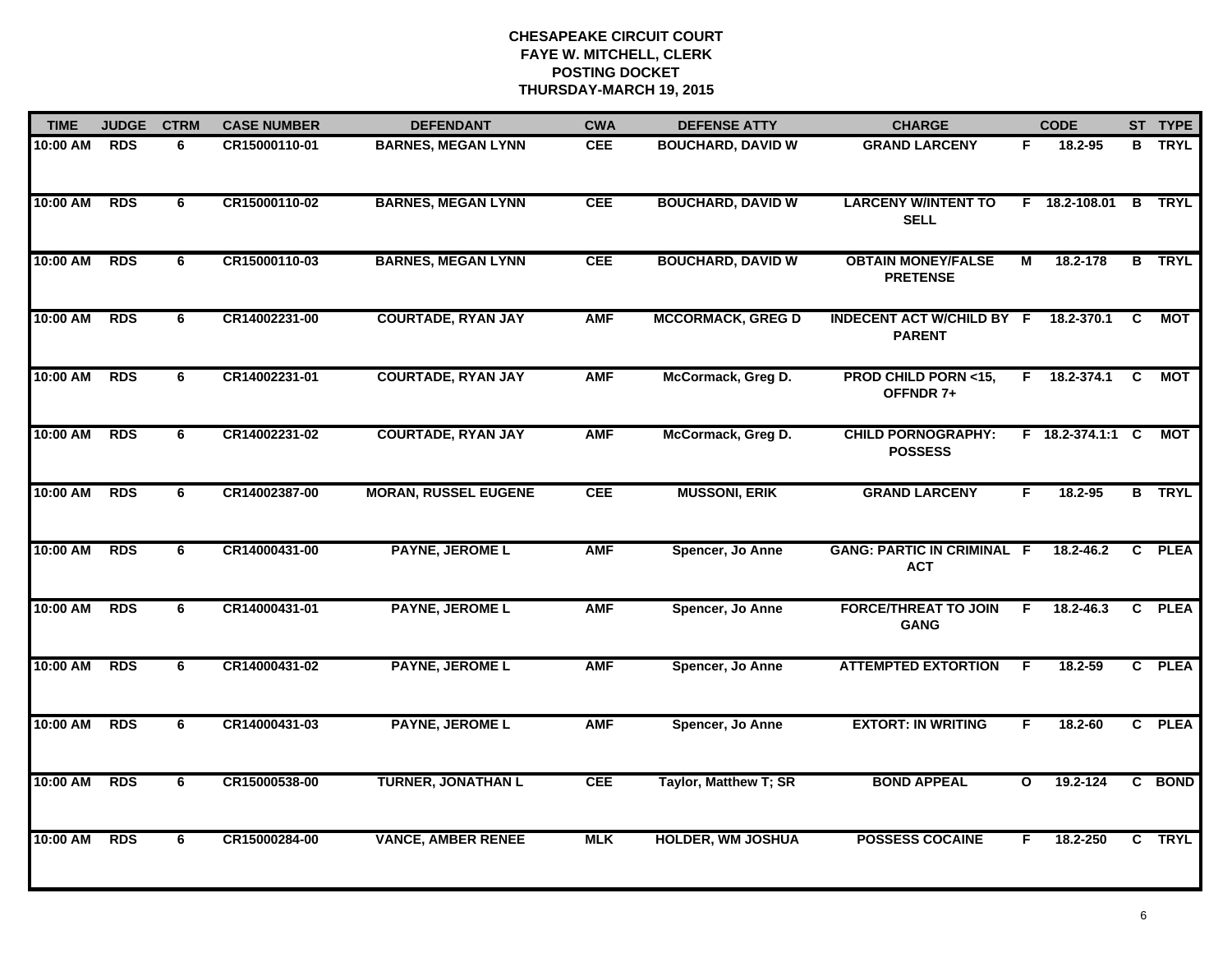| <b>TIME</b> | <b>JUDGE</b> | <b>CTRM</b>    | <b>CASE NUMBER</b> | <b>DEFENDANT</b>            | <b>CWA</b> | <b>DEFENSE ATTY</b>      | <b>CHARGE</b>                                     |                         | <b>CODE</b>      |              | ST TYPE       |
|-------------|--------------|----------------|--------------------|-----------------------------|------------|--------------------------|---------------------------------------------------|-------------------------|------------------|--------------|---------------|
| 10:00 AM    | <b>RDS</b>   | 6              | CR15000110-01      | <b>BARNES, MEGAN LYNN</b>   | <b>CEE</b> | <b>BOUCHARD, DAVID W</b> | <b>GRAND LARCENY</b>                              | F.                      | 18.2-95          | B.           | <b>TRYL</b>   |
| 10:00 AM    | <b>RDS</b>   | 6              | CR15000110-02      | <b>BARNES, MEGAN LYNN</b>   | <b>CEE</b> | <b>BOUCHARD, DAVID W</b> | <b>LARCENY W/INTENT TO</b><br><b>SELL</b>         | F                       | 18.2-108.01      | B            | <b>TRYL</b>   |
| 10:00 AM    | RDS          | 6              | CR15000110-03      | <b>BARNES, MEGAN LYNN</b>   | <b>CEE</b> | <b>BOUCHARD, DAVID W</b> | <b>OBTAIN MONEY/FALSE</b><br><b>PRETENSE</b>      | $\overline{\mathsf{M}}$ | 18.2-178         |              | <b>B</b> TRYL |
| 10:00 AM    | <b>RDS</b>   | 6              | CR14002231-00      | <b>COURTADE, RYAN JAY</b>   | <b>AMF</b> | <b>MCCORMACK, GREG D</b> | <b>INDECENT ACT W/CHILD BY F</b><br><b>PARENT</b> |                         | 18.2-370.1       | C            | <b>MOT</b>    |
| 10:00 AM    | <b>RDS</b>   | 6              | CR14002231-01      | <b>COURTADE, RYAN JAY</b>   | <b>AMF</b> | McCormack, Greg D.       | <b>PROD CHILD PORN &lt;15,</b><br>OFFNDR 7+       |                         | F 18.2-374.1     | C            | <b>MOT</b>    |
| 10:00 AM    | <b>RDS</b>   | 6              | CR14002231-02      | <b>COURTADE, RYAN JAY</b>   | <b>AMF</b> | McCormack, Greg D.       | <b>CHILD PORNOGRAPHY:</b><br><b>POSSESS</b>       |                         | F 18.2-374.1:1 C |              | MOT           |
| 10:00 AM    | <b>RDS</b>   | 6              | CR14002387-00      | <b>MORAN, RUSSEL EUGENE</b> | <b>CEE</b> | <b>MUSSONI, ERIK</b>     | <b>GRAND LARCENY</b>                              | F.                      | 18.2-95          | B            | <b>TRYL</b>   |
| 10:00 AM    | <b>RDS</b>   | 6              | CR14000431-00      | <b>PAYNE, JEROME L</b>      | <b>AMF</b> | Spencer, Jo Anne         | <b>GANG: PARTIC IN CRIMINAL F</b><br><b>ACT</b>   |                         | 18.2-46.2        | C            | <b>PLEA</b>   |
| 10:00 AM    | <b>RDS</b>   | 6              | CR14000431-01      | <b>PAYNE, JEROME L</b>      | <b>AMF</b> | Spencer, Jo Anne         | <b>FORCE/THREAT TO JOIN</b><br><b>GANG</b>        | E                       | 18.2-46.3        | C.           | <b>PLEA</b>   |
| 10:00 AM    | <b>RDS</b>   | 6              | CR14000431-02      | <b>PAYNE, JEROME L</b>      | <b>AMF</b> | Spencer, Jo Anne         | <b>ATTEMPTED EXTORTION</b>                        | F                       | $18.2 - 59$      | $\mathbf{c}$ | <b>PLEA</b>   |
| 10:00 AM    | <b>RDS</b>   | 6              | CR14000431-03      | <b>PAYNE, JEROME L</b>      | <b>AMF</b> | Spencer, Jo Anne         | <b>EXTORT: IN WRITING</b>                         | F.                      | 18.2-60          |              | C PLEA        |
| 10:00 AM    | <b>RDS</b>   | $\overline{6}$ | CR15000538-00      | <b>TURNER, JONATHAN L</b>   | <b>CEE</b> | Taylor, Matthew T; SR    | <b>BOND APPEAL</b>                                | $\mathbf{o}$            | 19.2-124         | C.           | <b>BOND</b>   |
| 10:00 AM    | <b>RDS</b>   | 6              | CR15000284-00      | <b>VANCE, AMBER RENEE</b>   | <b>MLK</b> | <b>HOLDER, WM JOSHUA</b> | <b>POSSESS COCAINE</b>                            | F                       | 18.2-250         |              | C TRYL        |